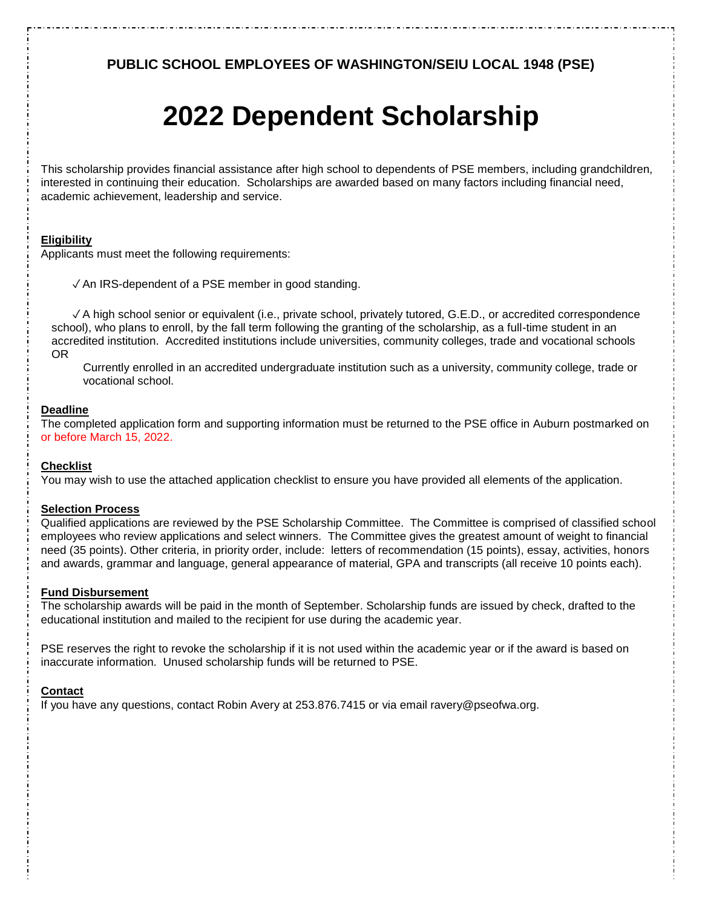**PUBLIC SCHOOL EMPLOYEES OF WASHINGTON/SEIU LOCAL 1948 (PSE)** 

# **2022 Dependent Scholarship**

This scholarship provides financial assistance after high school to dependents of PSE members, including grandchildren, interested in continuing their education. Scholarships are awarded based on many factors including financial need, academic achievement, leadership and service.

### **Eligibility**

Applicants must meet the following requirements:

✓ An IRS-dependent of a PSE member in good standing.

✓ A high school senior or equivalent (i.e., private school, privately tutored, G.E.D., or accredited correspondence school), who plans to enroll, by the fall term following the granting of the scholarship, as a full-time student in an accredited institution. Accredited institutions include universities, community colleges, trade and vocational schools OR

Currently enrolled in an accredited undergraduate institution such as a university, community college, trade or vocational school.

#### **Deadline**

The completed application form and supporting information must be returned to the PSE office in Auburn postmarked on or before March 15, 2022.

#### **Checklist**

You may wish to use the attached application checklist to ensure you have provided all elements of the application.

#### **Selection Process**

Qualified applications are reviewed by the PSE Scholarship Committee. The Committee is comprised of classified school employees who review applications and select winners. The Committee gives the greatest amount of weight to financial need (35 points). Other criteria, in priority order, include: letters of recommendation (15 points), essay, activities, honors and awards, grammar and language, general appearance of material, GPA and transcripts (all receive 10 points each).

#### **Fund Disbursement**

The scholarship awards will be paid in the month of September. Scholarship funds are issued by check, drafted to the educational institution and mailed to the recipient for use during the academic year.

PSE reserves the right to revoke the scholarship if it is not used within the academic year or if the award is based on inaccurate information. Unused scholarship funds will be returned to PSE.

#### **Contact**

If you have any questions, contact Robin Avery at 253.876.7415 or via email ravery@pseofwa.org.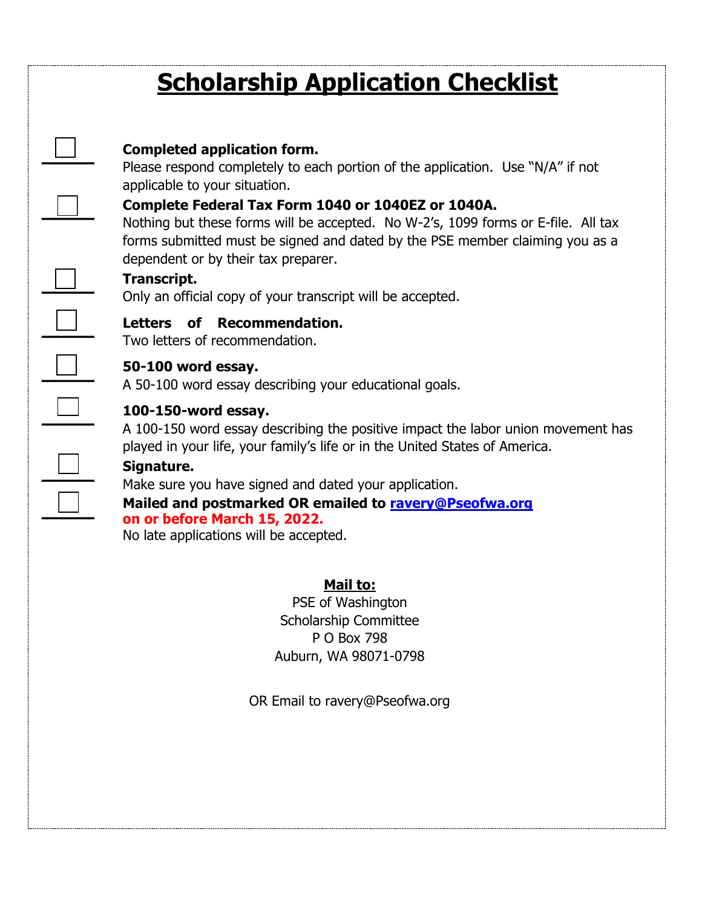## **Scholarship Application Checklist**

## **Completed application form.**

Please respond completely to each portion of the application. Use "N/A" if not applicable to your situation.

## **Complete Federal Tax Form 1040 or 1040EZ or 1040A.**

Nothing but these forms will be accepted. No W-2's, 1099 forms or E-file. All tax forms submitted must be signed and dated by the PSE member claiming you as a dependent or by their tax preparer.

## **Transcript.**

**\_\_\_\_** 

**\_\_\_\_** 

**\_\_\_\_** 

**\_\_\_\_** 

**\_\_\_\_** 

**\_\_\_\_**

**\_\_\_\_** 

**\_\_\_\_** 

Only an official copy of your transcript will be accepted.

## **Letters of Recommendation.**

Two letters of recommendation.

## **50-100 word essay.**

A 50-100 word essay describing your educational goals.

## **100-150-word essay.**

A 100-150 word essay describing the positive impact the labor union movement has played in your life, your family's life or in the United States of America.

## **Signature.**

Make sure you have signed and dated your application.

**Mailed and postmarked OR emailed to ravery@Pseofwa.org on or before March 15, 2022.**

No late applications will be accepted.

## **Mail to:**

PSE of Washington Scholarship Committee P O Box 798 Auburn, WA 98071-0798

OR Email to ravery@Pseofwa.org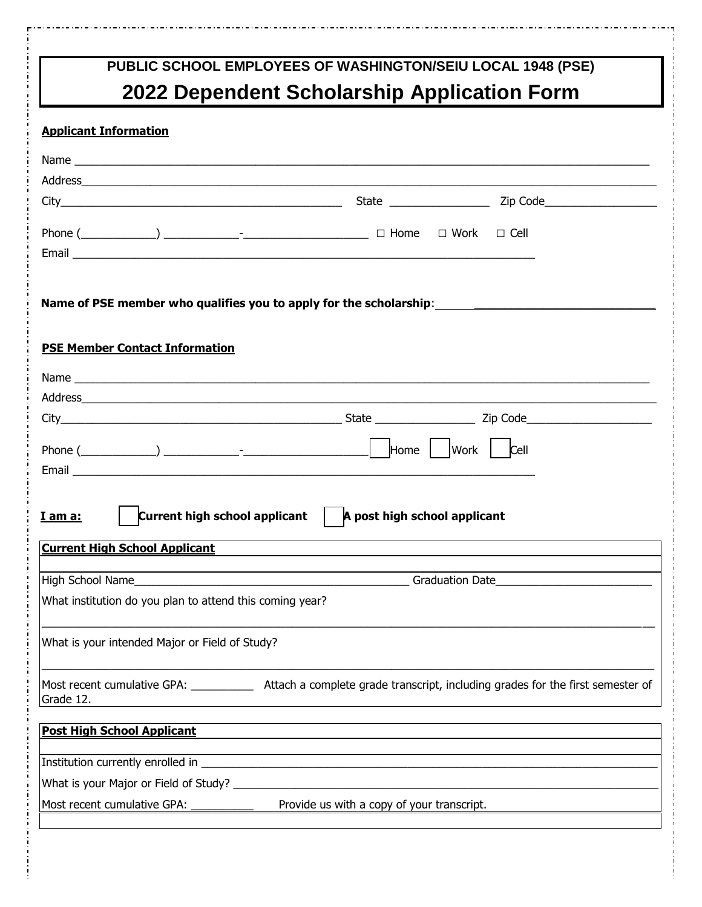## **PUBLIC SCHOOL EMPLOYEES OF WASHINGTON/SEIU LOCAL 1948 (PSE) 2022 Dependent Scholarship Application Form**

## **Applicant Information**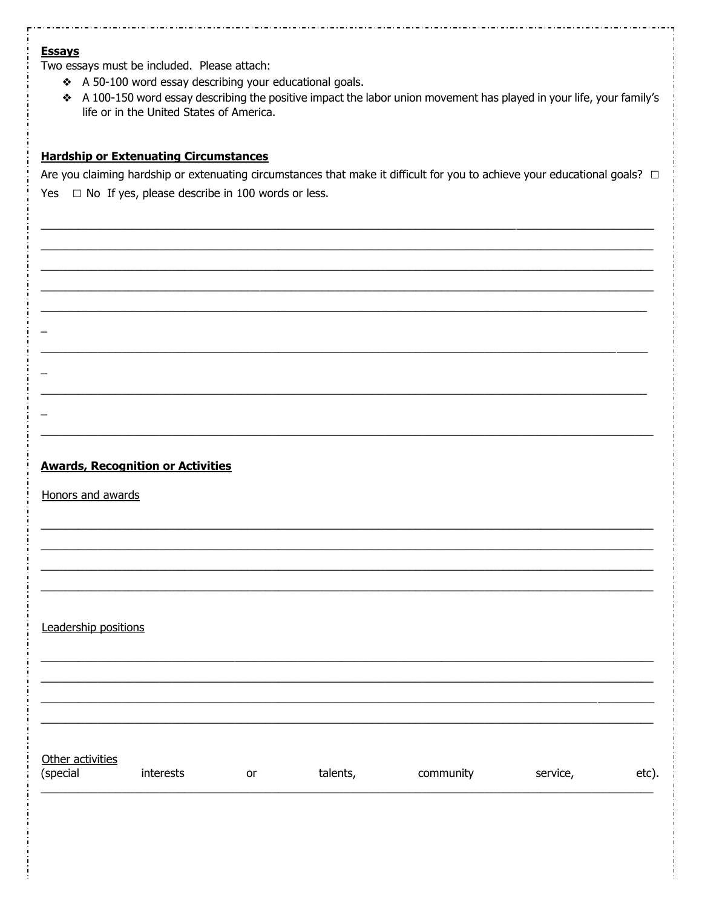#### **Essays**

Two essays must be included. Please attach:

- ❖ A 50-100 word essay describing your educational goals.
- \* A 100-150 word essay describing the positive impact the labor union movement has played in your life, your family's life or in the United States of America.

## **Hardship or Extenuating Circumstances**

Are you claiming hardship or extenuating circumstances that make it difficult for you to achieve your educational goals?  $\Box$ Yes  $\Box$  No If yes, please describe in 100 words or less.

#### **Awards, Recognition or Activities**

Honors and awards

 $\overline{\phantom{0}}$ 

Leadership positions

Other activities

| (special | interests | or | talents, | community | service, | etc). |
|----------|-----------|----|----------|-----------|----------|-------|
|          |           |    |          |           |          |       |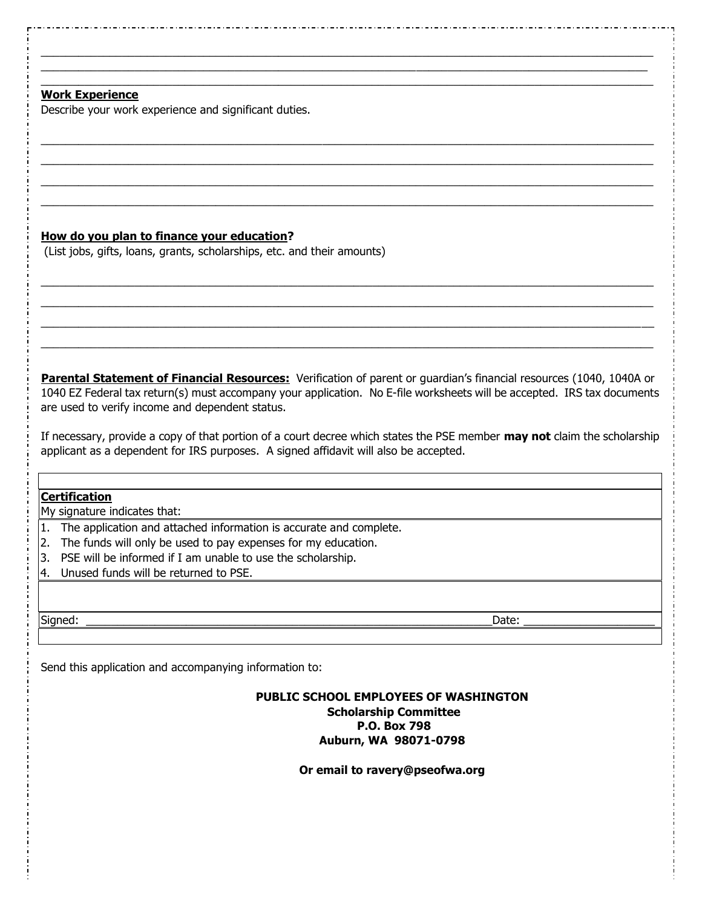## **Work Experience**

Describe your work experience and significant duties.

### **How do you plan to finance your education?**

(List jobs, gifts, loans, grants, scholarships, etc. and their amounts)

**Parental Statement of Financial Resources:** Verification of parent or guardian's financial resources (1040, 1040A or 1040 EZ Federal tax return(s) must accompany your application. No E-file worksheets will be accepted. IRS tax documents are used to verify income and dependent status.

 $\_$  , and the set of the set of the set of the set of the set of the set of the set of the set of the set of the set of the set of the set of the set of the set of the set of the set of the set of the set of the set of th  $\_$  , and the set of the set of the set of the set of the set of the set of the set of the set of the set of the set of the set of the set of the set of the set of the set of the set of the set of the set of the set of th  $\_$  ,  $\_$  ,  $\_$  ,  $\_$  ,  $\_$  ,  $\_$  ,  $\_$  ,  $\_$  ,  $\_$  ,  $\_$  ,  $\_$  ,  $\_$  ,  $\_$  ,  $\_$  ,  $\_$  ,  $\_$  ,  $\_$  ,  $\_$  ,  $\_$  ,  $\_$  ,  $\_$  ,  $\_$  ,  $\_$  ,  $\_$  ,  $\_$  ,  $\_$  ,  $\_$  ,  $\_$  ,  $\_$  ,  $\_$  ,  $\_$  ,  $\_$  ,  $\_$  ,  $\_$  ,  $\_$  ,  $\_$  ,  $\_$  ,  $\_$  , and the set of the set of the set of the set of the set of the set of the set of the set of the set of the set of the set of the set of the set of the set of the set of the set of the set of the set of the set of th

 $\_$  , and the set of the set of the set of the set of the set of the set of the set of the set of the set of the set of the set of the set of the set of the set of the set of the set of the set of the set of the set of th  $\_$  , and the set of the set of the set of the set of the set of the set of the set of the set of the set of the set of the set of the set of the set of the set of the set of the set of the set of the set of the set of th  $\_$  , and the set of the set of the set of the set of the set of the set of the set of the set of the set of the set of the set of the set of the set of the set of the set of the set of the set of the set of the set of th

 $\_$  , and the set of the set of the set of the set of the set of the set of the set of the set of the set of the set of the set of the set of the set of the set of the set of the set of the set of the set of the set of th  $\_$  , and the set of the set of the set of the set of the set of the set of the set of the set of the set of the set of the set of the set of the set of the set of the set of the set of the set of the set of the set of th  $\_$  , and the set of the set of the set of the set of the set of the set of the set of the set of the set of the set of the set of the set of the set of the set of the set of the set of the set of the set of the set of th  $\_$  , and the set of the set of the set of the set of the set of the set of the set of the set of the set of the set of the set of the set of the set of the set of the set of the set of the set of the set of the set of th

If necessary, provide a copy of that portion of a court decree which states the PSE member **may not** claim the scholarship applicant as a dependent for IRS purposes. A signed affidavit will also be accepted.

## **Certification**

My signature indicates that:

- 1. The application and attached information is accurate and complete.
- 2. The funds will only be used to pay expenses for my education.
- 3. PSE will be informed if I am unable to use the scholarship.
- 4. Unused funds will be returned to PSE.

Signed: \_\_\_\_\_\_\_\_\_\_\_\_\_\_\_\_\_\_\_\_\_\_\_\_\_\_\_\_\_\_\_\_\_\_\_\_\_\_\_\_\_\_\_\_\_\_\_\_\_\_\_\_\_\_\_\_\_\_\_\_\_\_\_\_\_Date: \_\_\_\_\_\_\_\_\_\_\_\_\_\_\_\_\_\_\_\_\_

Send this application and accompanying information to:

#### **PUBLIC SCHOOL EMPLOYEES OF WASHINGTON Scholarship Committee P.O. Box 798 Auburn, WA 98071-0798**

**Or email to ravery@pseofwa.org**